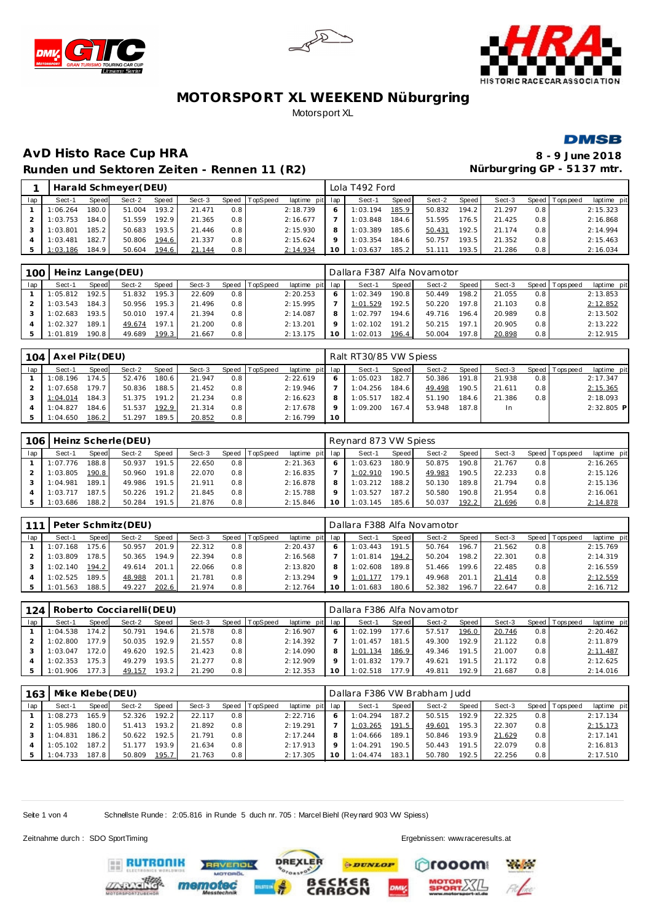







#### **AvD Histo Race Cup HRA 8 - 9 June 2018** Runden und Sektoren Zeiten - Rennen 11 (R2) **Nürburgring GP - 5137 mtr.**

|     |          |              | Harald Schmeyer (DEU) |       |        |       |          |                 |   | Lola T492 Ford |       |        |       |        |     |                |             |
|-----|----------|--------------|-----------------------|-------|--------|-------|----------|-----------------|---|----------------|-------|--------|-------|--------|-----|----------------|-------------|
| lap | Sect-1   | <b>Speed</b> | Sect-2                | Speed | Sect-3 | Speed | TopSpeed | laptime pit lap |   | Sect-1         | Speed | Sect-2 | Speed | Sect-3 |     | Speed Topspeed | laptime pit |
|     | 1:06.264 | 180.0        | 51.004                | 193.2 | 21.471 | 0.8   |          | 2:18.739        | 6 | 1:03.194       | 185.9 | 50.832 | 194.2 | 21.297 | 0.8 |                | 2:15.323    |
|     | 1:03.753 | 184.0        | 51.559                | 192.9 | 21.365 | 0.8   |          | 2:16.677        |   | 1:03.848       | 184.6 | 51.595 | 176.5 | 21.425 | 0.8 |                | 2:16.868    |
|     | 1:03.801 | 185.2        | 50.683                | 193.5 | 21.446 | 0.8   |          | 2:15.930        | 8 | 1:03.389       | 185.6 | 50.431 | 192.5 | 21.174 | 0.8 |                | 2:14.994    |
|     | 1:03.481 | 182.7        | 50.806                | 194.6 | 21.337 | 0.8   |          | 2:15.624        |   | 1:03.354       | 184.6 | 50.757 | 193.5 | 21.352 | 0.8 |                | 2:15.463    |
|     | 1:03.186 | 184.9        | 50.604                | 194.6 | 21.144 | 0.8   |          | 2:14.934        |   | 1:03.637       | 185.2 | 51.111 | 193.5 | 21.286 | 0.8 |                | 2:16.034    |

| 100 |          |         | Heinz Lange (DEU) |        |        |       |          |          |              | Dallara F387 Alfa Novamotor |        |        |        |        |                  |                |             |
|-----|----------|---------|-------------------|--------|--------|-------|----------|----------|--------------|-----------------------------|--------|--------|--------|--------|------------------|----------------|-------------|
| lap | Sect-1   | Speed   | Sect-2            | Speed  | Sect-3 | Speed | TopSpeed | laptime  | pit lap      | Sect-1                      | Speed  | Sect-2 | Speed  | Sect-3 |                  | Speed Topspeed | laptime pit |
|     | 1:05.812 | 192.5   | 51.832            | 195.3. | 22.609 | 0.8   |          | 2:20.253 | <sub>O</sub> | 1:02.349                    | 190.8  | 50.449 | 198.2. | 21.055 | 0.8              |                | 2:13.853    |
|     | 1:03.543 | 184.3   | 50.956            | 195.3  | 21.496 | 0.8   |          | 2:15.995 |              | 1:01.529                    | 192.5  | 50.220 | 197.8  | 21.103 | 0.8 <sub>1</sub> |                | 2:12.852    |
|     | 1:02.683 | 193.5   | 50.010            | 197.4  | 21.394 | 0.8   |          | 2:14.087 |              | 1:02.797                    | 194.6. | 49.716 | 196.4  | 20.989 | 0.8              |                | 2:13.502    |
|     | 1:02.327 | 189.1   | 49.674            | 197.1  | 21.200 | 0.8   |          | 2:13.201 |              | 1:02.102                    | 191.2  | 50.215 | 197.1  | 20.905 | 0.8 <sub>1</sub> |                | 2:13.222    |
| 5   | 1:01.819 | 190.8 I | 49.689            | 199.3  | 21.667 | 0.8   |          | 2:13.175 |              | 1:02.013                    | 196.4  | 50.004 | 197.8  | 20.898 | 0.8              |                | 2:12.915    |

| 104 | Axel Pilz (DEU) |                    |        |       |        |     |                  |                 |         | Ralt RT30/85 VW Spiess |              |        |       |           |     |                |              |
|-----|-----------------|--------------------|--------|-------|--------|-----|------------------|-----------------|---------|------------------------|--------------|--------|-------|-----------|-----|----------------|--------------|
| lap | Sect-1          | Speed              | Sect-2 | Speed | Sect-3 |     | Speed   TopSpeed | laptime pit lap |         | Sect-1                 | <b>Speed</b> | Sect-2 | Speed | Sect-3    |     | Speed Topspeed | laptime pit  |
|     | 1:08.196        | 174.5              | 52.476 | 180.6 | 21.947 | 0.8 |                  | 2:22.619        | -6      | 1:05.023               | 182.7        | 50.386 | 191.8 | 21.938    | 0.8 |                | 2:17.347     |
|     | 1:07.658        | 179.71             | 50.836 | 188.5 | 21.452 | 0.8 |                  | 2:19.946        |         | 1:04.256               | 184.6        | 49.498 | 190.5 | 21.611    | 0.8 |                | 2:15.365     |
|     | 1:04.014        | 184.3              | 51.375 | 191.2 | 21.234 | 0.8 |                  | 2:16.623        | 8       | 1:05.517               | 182.4        | 51.190 | 184.6 | 21.386    | 0.8 |                | 2:18.093     |
|     | 1:04.827        | 184.6 <sub>1</sub> | 51.537 | 192.9 | 21.314 | 0.8 |                  | 2:17.678        | $\circ$ | 1:09.200               | 167.4        | 53.948 | 187.8 | <b>In</b> |     |                | $2:32.805$ P |
|     | 1:04.650        | 186.2              | 51.297 | 189.5 | 20.852 | 0.8 |                  | 2:16.799        | 10      |                        |              |        |       |           |     |                |              |

| 106 |          |        | Heinz Scherle (DEU) |       |        |       |          |                 |           | Reynard 873 VW Spiess |       |        |       |        |     |                |             |
|-----|----------|--------|---------------------|-------|--------|-------|----------|-----------------|-----------|-----------------------|-------|--------|-------|--------|-----|----------------|-------------|
| lap | Sect-1   | Speed  | Sect-2              | Speed | Sect-3 | Speed | TopSpeed | laptime pit lap |           | Sect-1                | Speed | Sect-2 | Speed | Sect-3 |     | Speed Topspeed | laptime pit |
|     | 1:07.776 | 188.8  | 50.937              | 191.5 | 22.650 | 0.8   |          | 2:21.363        |           | 1:03.623              | 180.9 | 50.875 | 190.8 | 21.767 | 0.8 |                | 2:16.265    |
|     | 1:03.805 | 190.8  | 50.960              | 191.8 | 22.070 | 0.8   |          | 2:16.835        |           | 1:02.910              | 190.5 | 49.983 | 190.5 | 22.233 | 0.8 |                | 2:15.126    |
|     | 1:04.981 | 189.1  | 49.986              | 191.5 | 21.911 | 0.8   |          | 2:16.878        |           | 1:03.212              | 188.2 | 50.130 | 189.8 | 21.794 | 0.8 |                | 2:15.136    |
|     | 1:03.717 | 187.5. | 50.226              | 191.2 | 21.845 | 0.8   |          | 2:15.788        |           | : 03.527              | 187.2 | 50.580 | 190.8 | 21.954 | 0.8 |                | 2:16.061    |
|     | 1:03.686 | 188.2  | 50.284              | 191.5 | 21.876 | 0.8   |          | 2:15.846        | <b>10</b> | 1:03.145              | 185.6 | 50.037 | 192.2 | 21.696 | 0.8 |                | 2:14.878    |

| 111 |          |       | Peter Schmitz (DEU) |       |        |       |          |                 |    | Dallara F388 Alfa Novamotor |       |        |       |        |     |                |             |
|-----|----------|-------|---------------------|-------|--------|-------|----------|-----------------|----|-----------------------------|-------|--------|-------|--------|-----|----------------|-------------|
| lap | Sect-1   | Speed | Sect-2              | Speed | Sect-3 | Speed | TopSpeed | laptime pit lap |    | Sect-1                      | Speed | Sect-2 | Speed | Sect-3 |     | Speed Topspeed | laptime pit |
|     | 1:07.168 | 175.6 | 50.957              | 201.9 | 22.312 | 0.8   |          | 2:20.437        |    | : 03.443                    | 191.5 | 50.764 | 196.7 | 21.562 | 0.8 |                | 2:15.769    |
|     | 1:03.809 | 178.5 | 50.365              | 194.9 | 22.394 | 0.8   |          | 2:16.568        |    | 1:01.814                    | 194.2 | 50.204 | 198.2 | 22.301 | 0.8 |                | 2:14.319    |
|     | 1:02.140 | 194.2 | 49.614              | 201.1 | 22.066 | 0.8   |          | 2:13.820        |    | 1:02.608                    | 189.8 | 51.466 | 199.6 | 22.485 | 0.8 |                | 2:16.559    |
|     | 1:02.525 | 189.5 | 48.988              | 201.1 | 21.781 | 0.8   |          | 2:13.294        |    | 1:01.177                    | 179.1 | 49.968 | 201   | 21.414 | 0.8 |                | 2:12.559    |
|     | 1:01.563 | 188.5 | 49.227              | 202.6 | 21.974 | 0.8   |          | 2:12.764        | 1C | 1:01.683                    | 180.6 | 52.382 | 196.7 | 22.647 | 0.8 |                | 2:16.712    |

| 124 |          |                   | Roberto Cocciarelli (DEU) |       |        |       |          |                 |    | Dallara F386 Alfa Novamotor |       |        |       |        |         |            |             |
|-----|----------|-------------------|---------------------------|-------|--------|-------|----------|-----------------|----|-----------------------------|-------|--------|-------|--------|---------|------------|-------------|
| lap | Sect-1   | Speed             | Sect-2                    | Speed | Sect-3 | Speed | TopSpeed | laptime pit lap |    | Sect-1                      | Speed | Sect-2 | Speed | Sect-3 | Speed I | T ops peed | laptime pit |
|     | 1:04.538 | 74.2 <sub>1</sub> | 50.791                    | 194.6 | 21.578 | 0.8   |          | 2:16.907        |    | 1:02.199                    | 177.6 | 57.517 | 196.0 | 20.746 | 0.8     |            | 2:20.462    |
|     | 1:02.800 | 77.9 <sub>1</sub> | 50.035                    | 192.9 | 21.557 | 0.8   |          | 2:14.392        |    | 1:01.457                    | 181.5 | 49.300 | 192.9 | 21.122 | 0.8     |            | 2:11.879    |
|     | 1:03.047 | '72.0             | 49.620                    | 192.5 | 21.423 | 0.8   |          | 2:14.090        |    | 1:01.134                    | 186.9 | 49.346 | 191.5 | 21.007 | 0.8     |            | 2:11.487    |
|     | 1:02.353 | 75.3 <sub>1</sub> | 49.279                    | 193.5 | 21.277 | 0.8   |          | 2:12.909        |    | 1:01.832                    | 179.7 | 49.621 | 191.5 | 21.172 | 0.8     |            | 2:12.625    |
|     | 1:01.906 | 77.3              | 49.157                    | 193.2 | 21.290 | 0.8   |          | 2:12.353        | 10 | 1:02.518                    | 177.9 | 49.811 | 192.9 | 21.687 | 0.8     |            | 2:14.016    |

| 163 | Mike Klebe (DEU) |       |        |        |        |       |          |                 | Dallara F386 VW Brabham Judd |       |        |       |        |                  |           |             |
|-----|------------------|-------|--------|--------|--------|-------|----------|-----------------|------------------------------|-------|--------|-------|--------|------------------|-----------|-------------|
| lap | Sect-1           | Speed | Sect-2 | Speed  | Sect-3 | Speed | TopSpeed | laptime pit lap | Sect-1                       | Speed | Sect-2 | Speed | Sect-3 | Speed            | Tops peed | laptime pit |
|     | 1:08.273         | 165.9 | 52.326 | 192.2  | 22.117 | 0.8   |          | 2:22.716        | 1:04.294                     | 187.2 | 50.515 | 192.9 | 22.325 | 0.8 <sub>1</sub> |           | 2:17.134    |
|     | 1:05.986         | 180.0 | 51.413 | 193.2. | 21.892 | 0.8   |          | 2:19.291        | 1:03.265                     | 191.5 | 49.601 | 195.3 | 22.307 | 0.8              |           | 2:15.173    |
|     | 1:04.831         | 186.2 | 50.622 | 192.5  | 21.791 | 0.8   |          | 2:17.244        | 1:04.666                     | 189.1 | 50.846 | 193.9 | 21.629 | 0.8              |           | 2:17.141    |
|     | 1:05.102         | 187.2 | 51.177 | 193.9  | 21.634 | 0.8   |          | 2:17.913        | 1:04.291                     | 190.5 | 50.443 | 191.5 | 22.079 | 0.8              |           | 2:16.813    |
|     | 1:04.733         | 187.8 | 50.809 | 195.7  | 21.763 | 0.8   |          | 2:17.305        | 1:04.474                     | 183.1 | 50.780 | 192.5 | 22.256 | 0.8              |           | 2:17.510    |

**DREXLER** 

**PDUNLOP** 

≲<br>ON

Seite 1 von 4 Schnellste Runde : 2:05.816 in Runde 5 duch nr. 705 : Marcel Biehl (Rey nard 903 WV Spiess)

**TVENDL** 

Zeitnahme durch : SDO SportTiming Ergebnissen: [www.raceresults.a](www.raceresults.at)t

**RUTRONIK** 

rooom

**Playfords**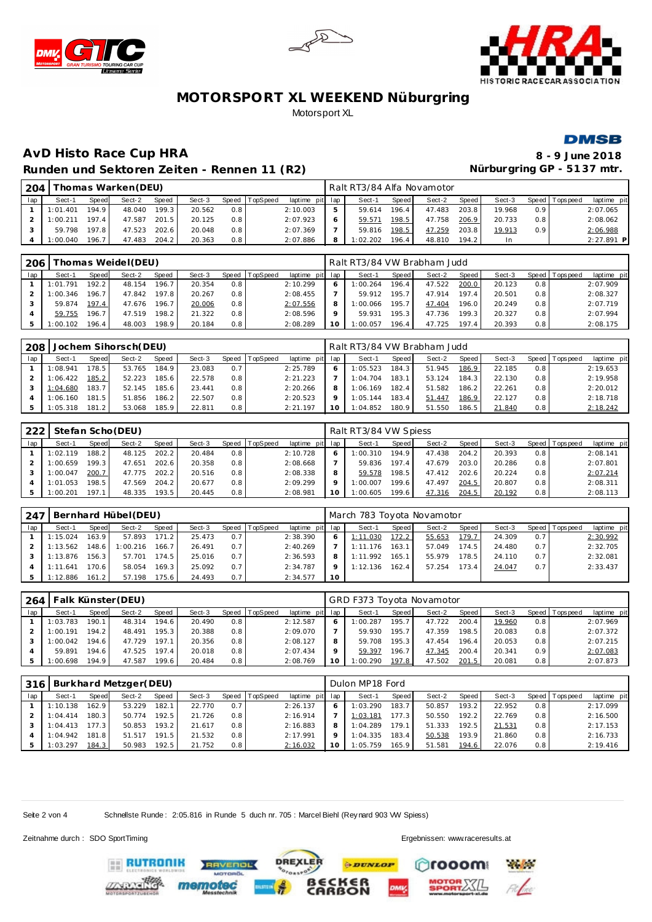





#### **DMSB**

# **AvD Histo Race Cup HRA 8 - 9 June 2018** Runden und Sektoren Zeiten - Rennen 11 (R2) **Nürburgring GP - 5137 mtr.**

| 204 |          |       | homas Warken (DEU) |       |        |                  |          |          |         | Ralt RT3/84 Alfa Novamotor |              |        |        |        |                  |                 |              |
|-----|----------|-------|--------------------|-------|--------|------------------|----------|----------|---------|----------------------------|--------------|--------|--------|--------|------------------|-----------------|--------------|
| lap | Sect-1   | Speed | Sect-2             | Speed | Sect-3 | Speed            | TopSpeed | laptime  | pit lap | Sect-1                     | <b>Speed</b> | Sect-2 | Speed  | Sect-3 | Speed            | <b>Topspeed</b> | laptime pit  |
|     | 1:01.401 | 194.9 | 48.040             | 199.3 | 20.562 | 0.8              |          | 2:10.003 |         | 59.614                     | 196.4        | 47.483 | 203.8  | 19.968 | 0.9 <sup>1</sup> |                 | 2:07.065     |
|     | 1:00.211 | 197.4 | 47.587             | 201.5 | 20.125 | 0.8              |          | 2:07.923 |         | 59.57                      | 198.5        | 47.758 | 206.9  | 20.733 | 0.8              |                 | 2:08.062     |
|     | 59.798   | 197.8 | 47.523             | 202.6 | 20.048 | 0.8              |          | 2:07.369 |         | 59.816                     | 198.5        | 47.259 | 203.8  | 19.913 | 0.9 <sup>°</sup> |                 | 2:06.988     |
|     | 1:00.040 | 196.7 | 47.483             | 204.2 | 20.363 | 0.8 <sub>1</sub> |          | 2:07.886 |         | : 02.202                   | 196.4        | 48.810 | 194.2. | In     |                  |                 | $2:27.891$ P |

| 206 |             |       | homas Weidel (DEU) |       |        |     |                  |                 |    | Ralt RT3/84 VW Brabham Judd |       |        |        |        |                  |                 |             |
|-----|-------------|-------|--------------------|-------|--------|-----|------------------|-----------------|----|-----------------------------|-------|--------|--------|--------|------------------|-----------------|-------------|
| lap | Sect-1      | Speed | Sect-2             | Speed | Sect-3 |     | Speed   TopSpeed | laptime pit lap |    | Sect-1                      | Speed | Sect-2 | Speed  | Sect-3 |                  | Speed Tops peed | laptime pit |
|     | : 01.791    | 192.2 | 48.154             | 196.7 | 20.354 | 0.8 |                  | 2:10.299        |    | 1:00.264                    | 196.4 | 47.522 | 200.0  | 20.123 | 0.8              |                 | 2:07.909    |
|     | : 00.346    | 196.7 | 47.842             | 197.8 | 20.267 | 0.8 |                  | 2:08.455        |    | 59.912                      | 195.7 | 47.914 | 197.4  | 20.501 | 0.8 <sub>1</sub> |                 | 2:08.327    |
|     | 59.874      | 197.4 | 47.676             | 196.7 | 20.006 | 0.8 |                  | 2:07.556        | 8  | 1:00.066                    | 195.7 | 47.404 | 196.0  | 20.249 | 0.8              |                 | 2:07.719    |
|     | 59.755      | 196.7 | 47.519             | 198.2 | 21.322 | 0.8 |                  | 2:08.596        |    | 59.931                      | 195.3 | 47.736 | 199.3. | 20.327 | 0.8 <sub>1</sub> |                 | 2:07.994    |
|     | 102<br>: ററ | 196.4 | 48.003             | 198.9 | 20.184 | 0.8 |                  | 2:08.289        | 1C | 1:00.057                    | 196.4 | 47.725 | 197.4  | 20.393 | 0.8 <sub>1</sub> |                 | 2:08.175    |

| 208 |          |                       | Jochem Sihorsch (DEU) |              |        |       |          |                 | Ralt RT3/84 VW Brabham Judd |       |        |       |        |       |           |             |
|-----|----------|-----------------------|-----------------------|--------------|--------|-------|----------|-----------------|-----------------------------|-------|--------|-------|--------|-------|-----------|-------------|
| lap | Sect-1   | Speed                 | Sect-2                | <b>Speed</b> | Sect-3 | Speed | TopSpeed | laptime pit lap | Sect-1                      | Speed | Sect-2 | Speed | Sect-3 | Speed | Tops peed | laptime pit |
|     | 1:08.941 | 178.5                 | 53.765                | 184.9        | 23.083 | 0.7   |          | 2:25.789        | 1:05.523                    | 184.3 | 51.945 | 186.9 | 22.185 | 0.8   |           | 2:19.653    |
|     | 1:06.422 | 185.2                 | 52.223                | 185.6        | 22.578 | 0.8   |          | 2:21.223        | 1:04.704                    | 183.1 | 53.124 | 184.3 | 22.130 | 0.8   |           | 2:19.958    |
|     | 1:04.680 | 183.7                 | 52.145                | 185.6        | 23.441 | 0.8   |          | 2:20.266        | 1:06.169                    | 182.4 | 51.582 | 186.2 | 22.261 | 0.8   |           | 2:20.012    |
|     | 1:06.160 | 181.5                 | 51.856                | 186.2        | 22.507 | 0.8   |          | 2:20.523        | 1:05.144                    | 183.4 | 51.447 | 186.9 | 22.127 | 0.8   |           | 2:18.718    |
|     | 1:05.318 | 181<br>$\overline{2}$ | 53.068                | 185.91       | 22.811 | 0.8   |          | 2:21.197        | 1:04.852                    | 180.9 | 51.550 | 186.5 | 21.840 | 0.8   |           | 2:18.242    |

| 222 |          |                    | Stefan Scho (DEU) |       |        |       |          |                 |         | Ralt RT3/84 VW Spiess |       |        |       |        |     |                |             |
|-----|----------|--------------------|-------------------|-------|--------|-------|----------|-----------------|---------|-----------------------|-------|--------|-------|--------|-----|----------------|-------------|
| lap | Sect-1   | Speed              | Sect-2            | Speed | Sect-3 | Speed | TopSpeed | laptime pit lap |         | Sect-1                | Speed | Sect-2 | Speed | Sect-3 |     | Speed Topspeed | laptime pit |
|     | 1:02.119 | 188.2 <sub>1</sub> | 48.125            | 202.2 | 20.484 | 0.8   |          | 2:10.728        |         | 1:00.310              | 194.9 | 47.438 | 204.2 | 20.393 | 0.8 |                | 2:08.141    |
|     | 1:00.659 | 199.31             | 47.651            | 202.6 | 20.358 | 0.8   |          | 2:08.668        |         | 59.836                | 197.4 | 47.679 | 203.0 | 20.286 | 0.8 |                | 2:07.801    |
|     | 1:00.047 | 200.7              | 47.775            | 202.2 | 20.516 | 0.8   |          | 2:08.338        | 8       | 59.578                | 198.5 | 47.412 | 202.6 | 20.224 | 0.8 |                | 2:07.214    |
|     | 1:01.053 | 198.5              | 47.569            | 204.2 | 20.677 | 0.8   |          | 2:09.299        | $\circ$ | 1:00.007              | 199.6 | 47.497 | 204.5 | 20.807 | 0.8 |                | 2:08.311    |
|     | 1:00.201 | 197.1              | 48.335            | 193.5 | 20.445 | 0.8   |          | 2:08.981        |         | 1:00.605              | 199.6 | 47.316 | 204.5 | 20.192 | 0.8 |                | 2:08.113    |

| 247 |          |       | Bernhard Hübel(DEU) |       |        |     |                |                 |    | March 783 Toyota Novamotor |         |        |       |        |     |                 |             |
|-----|----------|-------|---------------------|-------|--------|-----|----------------|-----------------|----|----------------------------|---------|--------|-------|--------|-----|-----------------|-------------|
| lap | Sect-1   | Speed | Sect-2              | Speed | Sect-3 |     | Speed TopSpeed | laptime pit lap |    | Sect-1                     | Speed I | Sect-2 | Speed | Sect-3 |     | Speed Tops peed | laptime pit |
|     | 1:15.024 | 163.9 | 57.893              | 171.2 | 25.473 | 0.7 |                | 2:38.390        |    | 1:11.030                   | 172.2   | 55.653 | 179.7 | 24.309 | 0.7 |                 | 2:30.992    |
|     | 1:13.562 | 148.6 | 1:00.216            | 166.7 | 26.491 | 0.7 |                | 2:40.269        |    | 1:11.176                   | 163.11  | 57.049 | 174.5 | 24.480 | 0.7 |                 | 2:32.705    |
|     | 1:13.876 | 156.3 | 57.701              | 174.5 | 25.016 | 0.7 |                | 2:36.593        | 8  | 1:11.992                   | 165.11  | 55.979 | 178.5 | 24.110 | 0.7 |                 | 2:32.081    |
|     | 1:11.641 | 170.6 | 58.054              | 169.3 | 25.092 | 0.7 |                | 2:34.787        |    | 1:12.136                   | 162.4   | 57.254 | 173.4 | 24.047 | 0.7 |                 | 2:33.437    |
|     | 1:12.886 | 161.2 | 57.198              | 175.6 | 24.493 | 0.7 |                | 2:34.577        | 10 |                            |         |        |       |        |     |                 |             |

| 264 |          |        | Falk Künster (DEU) |       |        |     |                |                 |    | GRD F373 Toyota Novamotor |         |        |       |        |                  |                 |             |
|-----|----------|--------|--------------------|-------|--------|-----|----------------|-----------------|----|---------------------------|---------|--------|-------|--------|------------------|-----------------|-------------|
| lap | Sect-1   | Speed  | Sect-2             | Speed | Sect-3 |     | Speed TopSpeed | laptime pit lap |    | Sect-1                    | Speed I | Sect-2 | Speed | Sect-3 |                  | Speed Tops peed | laptime pit |
|     | 1:03.783 | 190.1  | 48.314             | 194.6 | 20.490 | 0.8 |                | 2:12.587        |    | 1:00.287                  | 195.7   | 47.722 | 200.4 | 19.960 | 0.8              |                 | 2:07.969    |
|     | 1:00.191 | 194.2  | 48.491             | 195.3 | 20.388 | 0.8 |                | 2:09.070        |    | 59.930                    | 195.7   | 47.359 | 198.5 | 20.083 | 0.8              |                 | 2:07.372    |
|     | 00.042   | 194.6  | 47.729             | 197.1 | 20.356 | 0.8 |                | 2:08.127        | 8  | 59.708                    | 195.3   | 47.454 | 196.4 | 20.053 | 0.8              |                 | 2:07.215    |
|     | 59.891   | 194.61 | 47.525             | 197.4 | 20.018 | 0.8 |                | 2:07.434        |    | 59.397                    | 196.7   | 47.345 | 200.4 | 20.341 | 0.9 <sup>°</sup> |                 | 2:07.083    |
|     | : 00.698 | 194.9  | 47.587             | 199.6 | 20.484 | 0.8 |                | 2:08.769        | 10 | 1:00.290                  | 197.8   | 47.502 | 201.5 | 20.081 | 0.8              |                 | 2:07.873    |

| 316 |          |        | Burkhard Metzger(DEU) |       |        |         |                 |             |     | Dulon MP18 Ford |              |        |       |        |     |                 |             |
|-----|----------|--------|-----------------------|-------|--------|---------|-----------------|-------------|-----|-----------------|--------------|--------|-------|--------|-----|-----------------|-------------|
| lap | Sect-1   | Speed  | Sect-2                | Speed | Sect-3 | Speed T | <b>TopSpeed</b> | laptime pit | lap | Sect-1          | <b>Speed</b> | Sect-2 | Speed | Sect-3 |     | Speed Tops peed | laptime pit |
|     | 1:10.138 | 162.9  | 53.229                | 182.1 | 22.770 | 0.7     |                 | 2:26.137    |     | 1:03.290        | 183.7        | 50.857 | 193.2 | 22.952 | 0.8 |                 | 2:17.099    |
|     | 1:04.414 | 180.3  | 50.774                | 192.5 | 21.726 | 0.8     |                 | 2:16.914    |     | 1:03.181        | 177.3        | 50.550 | 192.2 | 22.769 | 0.8 |                 | 2:16.500    |
|     | 1:04.413 | 177.31 | 50.853                | 193.2 | 21.617 | 0.8     |                 | 2:16.883    | 8   | 1:04.289        | 179.1        | 51.333 | 192.5 | 21.531 | 0.8 |                 | 2:17.153    |
|     | 1:04.942 | 181.8  | 51.517                | 191.5 | 21.532 | 0.8     |                 | 2:17.991    |     | 1:04.335        | 183.4        | 50.538 | 193.9 | 21.860 | 0.8 |                 | 2:16.733    |
|     | : 03.297 | 184.3  | 50.983                | 192.5 | 21.752 | 0.8     |                 | 2:16.032    | 10  | 1:05.759        | 165.9        | 51.581 | 194.6 | 22.076 | 0.8 |                 | 2:19.416    |

**DREXLER** 

**PDUNLOP** 

ັ6R<br>ON

Seite 2 von 4 Schnellste Runde : 2:05.816 in Runde 5 duch nr. 705 : Marcel Biehl (Rey nard 903 WV Spiess)

**TVENDL** 

Zeitnahme durch : SDO SportTiming Ergebnissen: [www.raceresults.a](www.raceresults.at)t

**RUTRONIK** 

ooom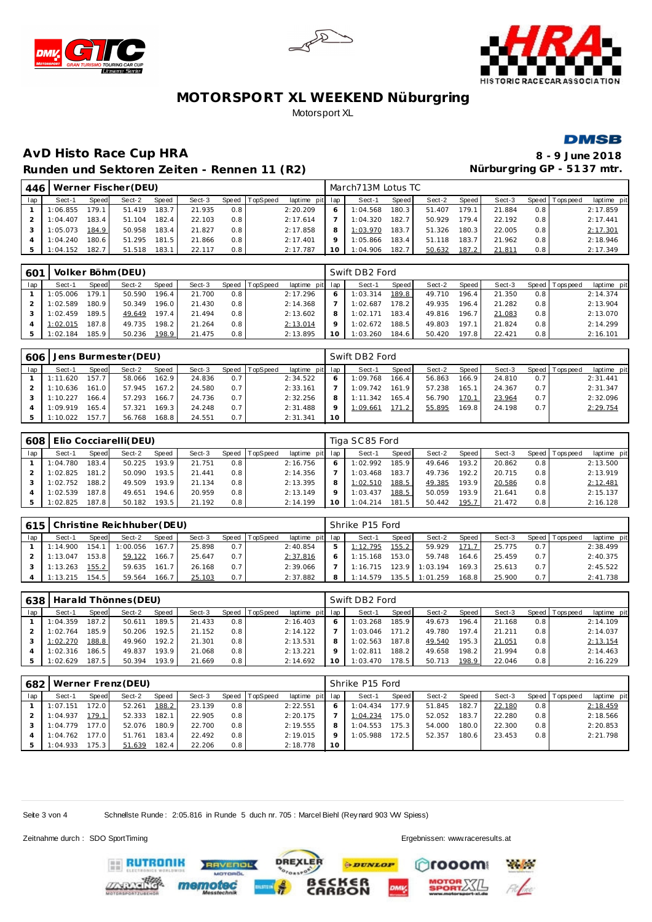







# **AvD Histo Race Cup HRA 8 - 9 June 2018** Runden und Sektoren Zeiten - Rennen 11 (R2) **Nürburgring GP - 5137 mtr.**

| 446 |          |       | Werner Fischer (DEU) |       |        |     |                |                 |     | March713M Lotus TC |       |        |       |        |                  |                |             |
|-----|----------|-------|----------------------|-------|--------|-----|----------------|-----------------|-----|--------------------|-------|--------|-------|--------|------------------|----------------|-------------|
| lap | Sect-1   | Speed | Sect-2               | Speed | Sect-3 |     | Speed TopSpeed | laptime pit lap |     | Sect-1             | Speed | Sect-2 | Speed | Sect-3 |                  | Speed Topspeed | laptime pit |
|     | 1:06.855 | 179.1 | 51.419               | 183.7 | 21.935 | 0.8 |                | 2:20.209        |     | 1:04.568           | 180.3 | 51.407 | 179.1 | 21.884 | 0.8              |                | 2:17.859    |
|     | 1:04.407 | 183.4 | 51.104               | 182.4 | 22.103 | 0.8 |                | 2:17.614        |     | 1:04.320           | 182.7 | 50.929 | 179.4 | 22.192 | 0.8 <sub>1</sub> |                | 2:17.441    |
|     | 1:05.073 | 184.9 | 50.958               | 183.4 | 21.827 | 0.8 |                | 2:17.858        | 8   | 1:03.970           | 183.7 | 51.326 | 180.3 | 22.005 | 0.8              |                | 2:17.301    |
|     | 1:04.240 | 180.6 | 51.295               | 181.5 | 21.866 | 0.8 |                | 2:17.401        |     | 1:05.866           | 183.4 | 51.118 | 183.7 | 21.962 | 0.8              |                | 2:18.946    |
|     | 1:04.152 | 182.7 | 51.518               | 183.1 | 22.117 | 0.8 |                | 2:17.787        | 10. | 1:04.906           | 182.7 | 50.632 | 187.2 | 21.811 | 0.8              |                | 2:17.349    |

| 601 |          |       | Volker Böhm (DEU) |       |        |                  |          |                 | Swift DB2 Ford |        |        |       |        |                  |                |             |
|-----|----------|-------|-------------------|-------|--------|------------------|----------|-----------------|----------------|--------|--------|-------|--------|------------------|----------------|-------------|
| lap | Sect-1   | Speed | Sect-2            | Speed | Sect-3 | Speed            | TopSpeed | laptime pit lap | Sect-1         | Speed  | Sect-2 | Speed | Sect-3 |                  | Speed Topspeed | laptime pit |
|     | 1:05.006 | 179.1 | 50.590            | 196.4 | 21.700 | 0.8              |          | 2:17.296        | 1:03.314       | 189.8  | 49.710 | 196.4 | 21.350 | 0.8 <sub>1</sub> |                | 2:14.374    |
|     | 1:02.589 | 180.9 | 50.349            | 196.0 | 21.430 | 0.8              |          | 2:14.368        | 1:02.687       | 178.2  | 49.935 | 196.4 | 21.282 | 0.8 <sub>1</sub> |                | 2:13.904    |
|     | 1:02.459 | 189.5 | 49.649            | 197.4 | 21.494 | 0.8              |          | 2:13.602        | 1:02.171       | 183.4  | 49.816 | 196.7 | 21.083 | 0.8 <sub>1</sub> |                | 2:13.070    |
|     | 1:02.015 | 187.8 | 49.735            | 198.2 | 21.264 | 0.8              |          | 2:13.014        | 1:02.672       | 188.5  | 49.803 | 197.1 | 21.824 | 0.8 <sub>1</sub> |                | 2:14.299    |
|     | 1:02.184 | 185.9 | 50.236            | 198.9 | 21.475 | 0.8 <sub>1</sub> |          | 2:13.895        | 1:03.260       | 184.61 | 50.420 | 197.8 | 22.421 | 0.8 <sub>1</sub> |                | 2:16.101    |

| 606 |          |        | Jens Burmester (DEU) |        |        |     |                |                 |         | Swift DB2 Ford |       |        |       |        |     |                |             |
|-----|----------|--------|----------------------|--------|--------|-----|----------------|-----------------|---------|----------------|-------|--------|-------|--------|-----|----------------|-------------|
| lap | Sect-1   | Speed  | Sect-2               | Speed  | Sect-3 |     | Speed TopSpeed | laptime pit lap |         | Sect-1         | Speed | Sect-2 | Speed | Sect-3 |     | Speed Topspeed | laptime pit |
|     | 1:11.620 | 157.   | 58.066               | 162.9  | 24.836 | 0.7 |                | 2:34.522        |         | 1:09.768       | 166.4 | 56.863 | 166.9 | 24.810 | 0.7 |                | 2:31.441    |
|     | 1:10.636 | 161.01 | 57.945               | 167.2  | 24.580 | 0.7 |                | 2:33.161        |         | 1:09.742       | 161.9 | 57.238 | 165.1 | 24.367 | 0.7 |                | 2:31.347    |
|     | 1:10.227 | 166.4  | 57.293               | 166.7  | 24.736 | 0.7 |                | 2:32.256        | 8       | 1:11.342       | 165.4 | 56.790 | 170.  | 23.964 | 0.7 |                | 2:32.096    |
|     | 1:09.919 | 165.4  | 57.321               | 169.31 | 24.248 | 0.7 |                | 2:31.488        | $\circ$ | 1:09.661       | 171.2 | 55.895 | 169.8 | 24.198 | 0.7 |                | 2: 29.754   |
|     | 1:10.022 | 157    | 56.768               | 168.8  | 24.551 | 0.7 |                | 2:31.341        | 10      |                |       |        |       |        |     |                |             |

| 608 |          |       | Elio Cocciarelli(DEU) |       |        |       |          |                 |    | Tiga SC85 Ford |       |        |        |        |     |                 |             |
|-----|----------|-------|-----------------------|-------|--------|-------|----------|-----------------|----|----------------|-------|--------|--------|--------|-----|-----------------|-------------|
| lap | Sect-1   | Speed | Sect-2                | Speed | Sect-3 | Speed | TopSpeed | laptime pit lap |    | Sect-1         | Speed | Sect-2 | Speed  | Sect-3 |     | Speed Tops peed | laptime pit |
|     | 1:04.780 | 183.4 | 50.225                | 193.9 | 21.751 | 0.8   |          | 2:16.756        |    | 1:02.992       | 185.9 | 49.646 | 193.21 | 20.862 | 0.8 |                 | 2:13.500    |
|     | 1:02.825 | 181.2 | 50.090                | 193.5 | 21.441 | 0.8   |          | 2:14.356        |    | 1:03.468       | 183.7 | 49.736 | 192.2  | 20.715 | 0.8 |                 | 2:13.919    |
|     | 1:02.752 | 188.2 | 49.509                | 193.9 | 21.134 | 0.8   |          | 2:13.395        |    | 1:02.510       | 188.5 | 49.385 | 193.9  | 20.586 | 0.8 |                 | 2:12.481    |
|     | 1:02.539 | 187.8 | 49.651                | 194.6 | 20.959 | 0.8   |          | 2:13.149        |    | : 03.437       | 188.5 | 50.059 | 193.9  | 21.641 | 0.8 |                 | 2:15.137    |
|     | 1:02.825 | 187.8 | 50.182                | 193.5 | 21.192 | 0.8   |          | 2:14.199        | 10 | 1:04.214       | 181.5 | 50.442 | 195.7  | 21.472 | 0.8 |                 | 2:16.128    |

| 615 | Christine Reichhuber (DEU)<br><b>Speed</b><br>Speed TopSpeed<br>Speed<br>Sect-2<br>Sect-3<br>Sect-1<br>167.7<br>0.7<br>1:00.056<br>1:14.900<br>25.898<br>154. |       |        |       |        |     |  |                 | Shrike P15 Ford |       |          |       |        |     |                |             |
|-----|---------------------------------------------------------------------------------------------------------------------------------------------------------------|-------|--------|-------|--------|-----|--|-----------------|-----------------|-------|----------|-------|--------|-----|----------------|-------------|
| lap |                                                                                                                                                               |       |        |       |        |     |  | laptime pit lap | Sect-1          | Speed | Sect-2   | Speed | Sect-3 |     | Speed Topspeed | laptime pit |
|     |                                                                                                                                                               |       |        |       |        |     |  | 2:40.854        | 1:12.795        | 155.2 | 59.929   | 171.7 | 25.775 | 0.7 |                | 2:38.499    |
|     | 1:13.047                                                                                                                                                      | 153.8 | 59.122 | 166.7 | 25.647 | 0.7 |  | 2:37.816        | 1:15.168        | 153.0 | 59.748   | 164.6 | 25.459 | 0.7 |                | 2:40.375    |
|     | 1:13.263                                                                                                                                                      | 155.2 | 59.635 | 161.7 | 26.168 | 0.7 |  | 2:39.066        | 1.16715         | 123.9 | 1:03.194 | 169.3 | 25.613 | 0.7 |                | 2:45.522    |
|     | 1:13.215                                                                                                                                                      | 154.5 | 59.564 | 166.7 | 25.103 | 0.7 |  | 2:37.882        | 1.14579         | 35.5  | 1:01.259 | 168.8 | 25.900 | 0.7 |                | 2:41.738    |

| 638 |          |       | Harald Thönnes (DEU) |       |        |       |          |                 | Swift DB2 Ford |       |        |        |        |                  |                |             |
|-----|----------|-------|----------------------|-------|--------|-------|----------|-----------------|----------------|-------|--------|--------|--------|------------------|----------------|-------------|
| lap | Sect-1   | Speed | Sect-2               | Speed | Sect-3 | Speed | TopSpeed | laptime pit lap | Sect-1         | Speed | Sect-2 | Speed  | Sect-3 |                  | Speed Topspeed | laptime pit |
|     | 1:04.359 | 187.2 | 50.611               | 189.5 | 21.433 | 0.8   |          | 2:16.403        | 1:03.268       | 185.9 | 49.673 | 196.4  | 21.168 | 0.8 <sub>1</sub> |                | 2:14.109    |
|     | 1:02.764 | 185.9 | 50.206               | 192.5 | 21.152 | 0.8   |          | 2:14.122        | 1:03.046       | 171.2 | 49.780 | 197.4  | 21.211 | 0.8 <sub>1</sub> |                | 2:14.037    |
|     | 1:02.270 | 188.8 | 49.960               | 192.2 | 21.301 | 0.8   |          | 2:13.531        | 1:02.563       | 187.8 | 49.540 | 195.3  | 21.051 | 0.8 <sub>1</sub> |                | 2:13.154    |
|     | 1:02.316 | 186.5 | 49.837               | 193.9 | 21.068 | 0.8   |          | 2:13.221        | 1:02.81        | 188.2 | 49.658 | 198.2. | 21.994 | 0.8 <sub>1</sub> |                | 2:14.463    |
|     | 1:02.629 | 187.5 | 50.394               | 193.9 | 21.669 | 0.8   |          | 2:14.692        | 1:03.470       | 178.5 | 50.713 | 198.9  | 22.046 | 0.8 <sub>1</sub> |                | 2:16.229    |

| 682 |          |       | Werner Frenz (DEU) |       |        |       |          |                 |    | Shrike P15 Ford |       |        |       |        |       |           |             |
|-----|----------|-------|--------------------|-------|--------|-------|----------|-----------------|----|-----------------|-------|--------|-------|--------|-------|-----------|-------------|
| lap | Sect-1   | Speed | Sect-2             | Speed | Sect-3 | Speed | TopSpeed | laptime pit lap |    | Sect-1          | Speed | Sect-2 | Speed | Sect-3 | Speed | Tops peed | laptime pit |
|     | 1:07.151 | 72.0  | 52.261             | 188.2 | 23.139 | 0.8   |          | 2:22.551        |    | 1:04.434        | 177.9 | 51.845 | 182.7 | 22.180 | 0.8   |           | 2:18.459    |
|     | 1:04.937 | 179.1 | 52.333             | 182.1 | 22.905 | 0.8   |          | 2:20.175        |    | 1:04.234        | 175.0 | 52.052 | 183.7 | 22.280 | 0.8   |           | 2:18.566    |
|     | 1:04.779 | 77.0  | 52.076             | 180.9 | 22.700 | 0.8   |          | 2:19.555        | 8  | 1:04.553        | 175.3 | 54.000 | 180.0 | 22.300 | 0.8   |           | 2:20.853    |
|     | 1:04.762 | 77.0  | 51.761             | 183.4 | 22.492 | 0.8   |          | 2:19.015        |    | 1:05.988        | 172.5 | 52.357 | 180.6 | 23.453 | 0.8   |           | 2:21.798    |
|     | 1:04.933 | 75.3  | 51.639             | 182.4 | 22.206 | 0.8   |          | 2:18.778        | 10 |                 |       |        |       |        |       |           |             |

**DREXLER** 

**PDUNLOP** 

ັ6R<br>ON

Seite 3 von 4 Schnellste Runde : 2:05.816 in Runde 5 duch nr. 705 : Marcel Biehl (Rey nard 903 WV Spiess)

Zeitnahme durch : SDO SportTiming Ergebnissen: [www.raceresults.a](www.raceresults.at)t

ooom

**Paul Co**